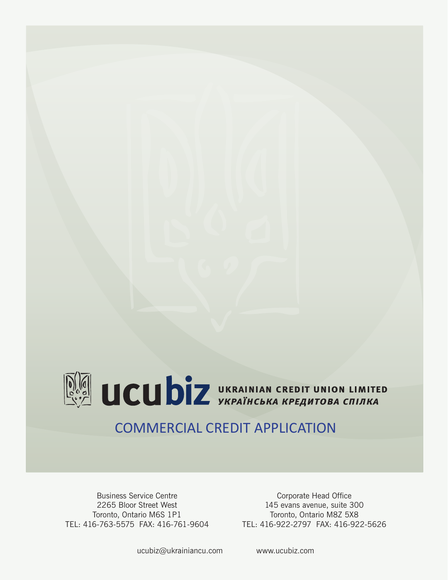

# COMMERCIAL CREDIT APPLICATION

Business Service Centre 2265 Bloor Street West Toronto, Ontario M6S 1P1 TEL: 416-763-5575 FAX: 416-761-9604

Corporate Head Office 145 evans avenue, suite 300 Toronto, Ontario M8Z 5X8 TEL: 416-922-2797 FAX: 416-922-5626

ucubiz@ukrainiancu.com www.ucubiz.com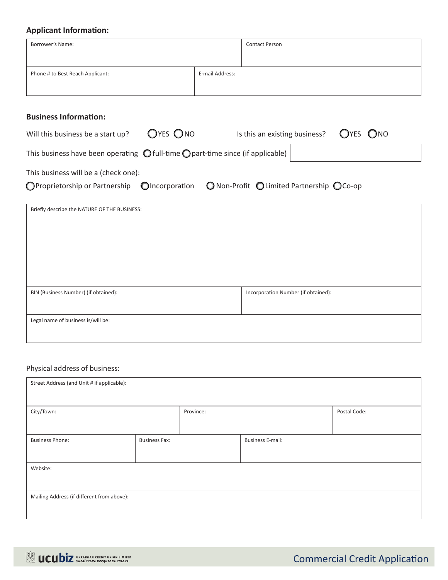## **Applicant Information:**

| <b>Applicant Information:</b>                                                                     |                                            |
|---------------------------------------------------------------------------------------------------|--------------------------------------------|
| Borrower's Name:                                                                                  | <b>Contact Person</b>                      |
| Phone # to Best Reach Applicant:                                                                  | E-mail Address:                            |
| <b>Business Information:</b>                                                                      |                                            |
| $OYES$ ONO<br>Will this business be a start up?                                                   | OYES ONO<br>Is this an existing business?  |
| This business have been operating $\bigcirc$ full-time $\bigcirc$ part-time since (if applicable) |                                            |
| This business will be a (check one):                                                              |                                            |
| OProprietorship or Partnership OIncorporation                                                     | ○ Non-Profit ○ Limited Partnership ○ Co-op |
| Briefly describe the NATURE OF THE BUSINESS:                                                      |                                            |
| BIN (Business Number) (if obtained):                                                              | Incorporation Number (if obtained):        |

Legal name of business is/will be:

# Physical address of business:

| Street Address (and Unit # if applicable): |                      |                         |  |              |  |  |
|--------------------------------------------|----------------------|-------------------------|--|--------------|--|--|
|                                            |                      |                         |  |              |  |  |
| City/Town:                                 |                      | Province:               |  | Postal Code: |  |  |
|                                            |                      |                         |  |              |  |  |
| <b>Business Phone:</b>                     | <b>Business Fax:</b> | <b>Business E-mail:</b> |  |              |  |  |
|                                            |                      |                         |  |              |  |  |
| Website:                                   |                      |                         |  |              |  |  |
|                                            |                      |                         |  |              |  |  |
| Mailing Address (if different from above): |                      |                         |  |              |  |  |
|                                            |                      |                         |  |              |  |  |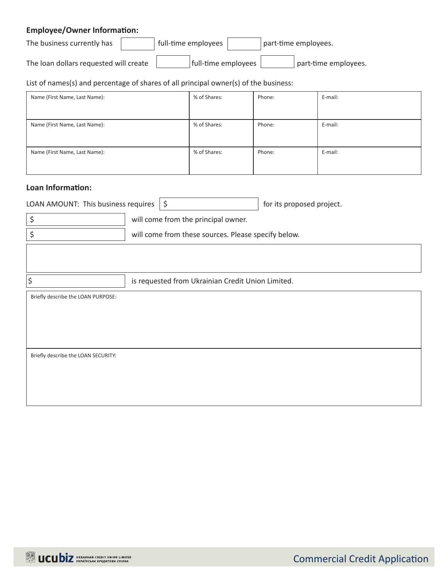# **Employee/Owner Information:**

| The business currently has             | full-time employees | part-time employees. |  |
|----------------------------------------|---------------------|----------------------|--|
| The loan dollars requested will create | full-time employees | part-time employees. |  |

List of names(s) and percentage of shares of all principal owner(s) of the business:

| Name (First Name, Last Name): | % of Shares: | Phone: | E-mail: |
|-------------------------------|--------------|--------|---------|
|                               |              |        |         |
| Name (First Name, Last Name): | % of Shares: | Phone: | E-mail: |
|                               |              |        |         |
| Name (First Name, Last Name): | % of Shares: | Phone: | E-mail: |
|                               |              |        |         |

#### **Loan Information:**

| LOAN AMOUNT: This business requires $\frac{1}{5}$ | $\frac{1}{2}$ for its proposed project. |
|---------------------------------------------------|-----------------------------------------|
|                                                   |                                         |

| will come from the principal owner.                 |
|-----------------------------------------------------|
| will come from these sources. Please specify below. |

 $\vert$ \$ is requested from Ukrainian Credit Union Limited.

Briefly describe the LOAN PURPOSE:

Briefly describe the LOAN SECURITY:

Commercial Credit Application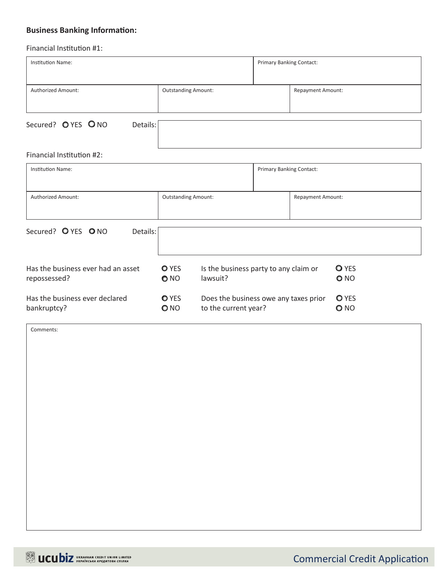# **Business Banking Information:**

#### Financial Institution #1:

| Institution Name:                                  |                                                                                      |  | <b>Primary Banking Contact:</b> |                                 |  |
|----------------------------------------------------|--------------------------------------------------------------------------------------|--|---------------------------------|---------------------------------|--|
| Authorized Amount:                                 | <b>Outstanding Amount:</b>                                                           |  |                                 | <b>Repayment Amount:</b>        |  |
| Secured? O YES O NO<br>Details:                    |                                                                                      |  |                                 |                                 |  |
| Financial Institution #2:                          |                                                                                      |  |                                 |                                 |  |
| Institution Name:                                  |                                                                                      |  | <b>Primary Banking Contact:</b> |                                 |  |
| Authorized Amount:                                 | <b>Outstanding Amount:</b>                                                           |  | Repayment Amount:               |                                 |  |
| Secured? O YES O NO<br>Details:                    |                                                                                      |  |                                 |                                 |  |
| Has the business ever had an asset<br>repossessed? | <b>O</b> YES<br>Is the business party to any claim or<br>lawsuit?<br>O <sub>NO</sub> |  |                                 | <b>O</b> YES<br>O <sub>NO</sub> |  |
| Has the business ever declared<br>bankruptcy?      | <b>O</b> YES<br>Does the business owe any taxes prior<br>to the current year?<br>ONO |  |                                 | <b>O</b> YES<br>O NO            |  |

Comments: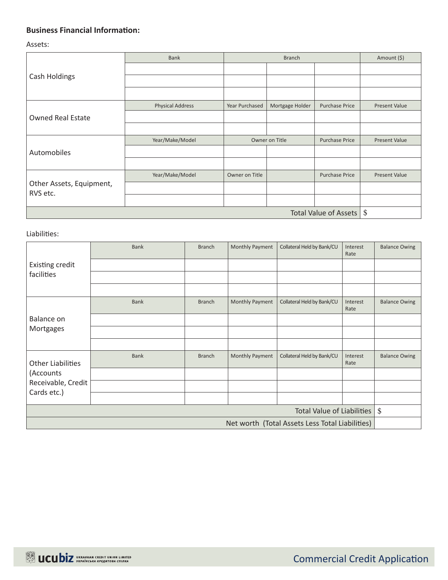## **Business Financial Information:**

Assets:

|                                      | <b>Bank</b>             |                | <b>Branch</b>   |                       |                         |
|--------------------------------------|-------------------------|----------------|-----------------|-----------------------|-------------------------|
|                                      |                         |                |                 |                       |                         |
| Cash Holdings                        |                         |                |                 |                       |                         |
|                                      |                         |                |                 |                       |                         |
|                                      | <b>Physical Address</b> | Year Purchased | Mortgage Holder | <b>Purchase Price</b> | <b>Present Value</b>    |
| <b>Owned Real Estate</b>             |                         |                |                 |                       |                         |
|                                      |                         |                |                 |                       |                         |
|                                      | Year/Make/Model         | Owner on Title |                 | <b>Purchase Price</b> | <b>Present Value</b>    |
| Automobiles                          |                         |                |                 |                       |                         |
|                                      |                         |                |                 |                       |                         |
|                                      | Year/Make/Model         | Owner on Title |                 | <b>Purchase Price</b> | Present Value           |
| Other Assets, Equipment,<br>RVS etc. |                         |                |                 |                       |                         |
|                                      |                         |                |                 |                       |                         |
| Total Value of Assets                |                         |                |                 |                       | $\sqrt[6]{\frac{1}{2}}$ |

#### Liabilities:

|                                                 | <b>Bank</b> | <b>Branch</b> | Monthly Payment | Collateral Held by Bank/CU | Interest<br>Rate | <b>Balance Owing</b> |
|-------------------------------------------------|-------------|---------------|-----------------|----------------------------|------------------|----------------------|
| Existing credit                                 |             |               |                 |                            |                  |                      |
| facilities                                      |             |               |                 |                            |                  |                      |
|                                                 |             |               |                 |                            |                  |                      |
|                                                 | <b>Bank</b> | <b>Branch</b> | Monthly Payment | Collateral Held by Bank/CU | Interest<br>Rate | <b>Balance Owing</b> |
| Balance on                                      |             |               |                 |                            |                  |                      |
| Mortgages                                       |             |               |                 |                            |                  |                      |
|                                                 |             |               |                 |                            |                  |                      |
| <b>Other Liabilities</b>                        | <b>Bank</b> | <b>Branch</b> | Monthly Payment | Collateral Held by Bank/CU | Interest<br>Rate | <b>Balance Owing</b> |
| (Accounts                                       |             |               |                 |                            |                  |                      |
| Receivable, Credit                              |             |               |                 |                            |                  |                      |
| Cards etc.)                                     |             |               |                 |                            |                  |                      |
| Total Value of Liabilities $\frac{1}{3}$        |             |               |                 |                            |                  |                      |
| Net worth (Total Assets Less Total Liabilities) |             |               |                 |                            |                  |                      |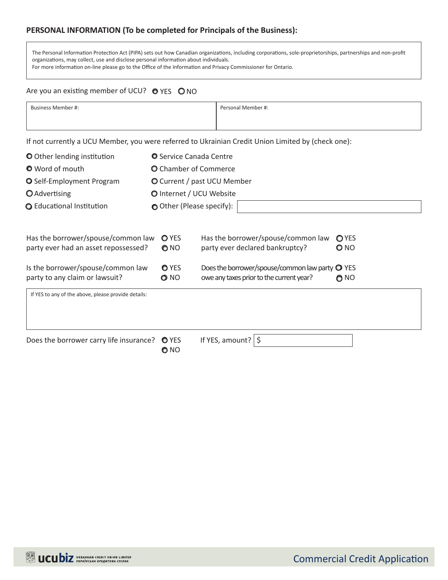## **PERSONAL INFORMATION (To be completed for Principals of the Business):**

The Personal Information Protection Act (PIPA) sets out how Canadian organizations, including corporations, sole-proprietorships, partnerships and non-profit organizations, may collect, use and disclose personal information about individuals. For more information on-line please go to the Office of the Information and Privacy Commissioner for Ontario.

#### Are you an existing member of UCU?  $\bullet$  YES  $\bullet$  NO

| Business Member #:                                                                                                                                                                                                                | Personal Member #: |
|-----------------------------------------------------------------------------------------------------------------------------------------------------------------------------------------------------------------------------------|--------------------|
|                                                                                                                                                                                                                                   |                    |
| $\mathbf{u}$ . The contract of the contract of the contract of the contract of the contract of the contract of the contract of the contract of the contract of the contract of the contract of the contract of the contract of th |                    |

If not currently a UCU Member, you were referred to Ukrainian Credit Union Limited by (check one):

| O Other lending institution                                                | <b>O</b> Service Canada Centre |                                                                                       |                               |  |  |  |
|----------------------------------------------------------------------------|--------------------------------|---------------------------------------------------------------------------------------|-------------------------------|--|--|--|
| <b>O</b> Word of mouth                                                     | <b>O</b> Chamber of Commerce   |                                                                                       |                               |  |  |  |
| <b>O</b> Self-Employment Program                                           | O Current / past UCU Member    |                                                                                       |                               |  |  |  |
| <b>Q</b> Advertising                                                       | O Internet / UCU Website       |                                                                                       |                               |  |  |  |
| <b>Q</b> Educational Institution                                           | O Other (Please specify):      |                                                                                       |                               |  |  |  |
| Has the borrower/spouse/common law<br>party ever had an asset repossessed? | <b>O</b> YES<br>ONO            | Has the borrower/spouse/common law<br>party ever declared bankruptcy?                 | OYES<br>O NO                  |  |  |  |
| Is the borrower/spouse/common law<br>party to any claim or lawsuit?        | <b>O</b> YES<br>O NO           | Does the borrower/spouse/common law party<br>owe any taxes prior to the current year? | <b>O</b> YES<br>$\bigcirc$ NO |  |  |  |
| If YES to any of the above, please provide details:                        |                                |                                                                                       |                               |  |  |  |
| Does the borrower carry life insurance? O YES                              | O NO                           | If YES, amount? $\frac{1}{5}$                                                         |                               |  |  |  |